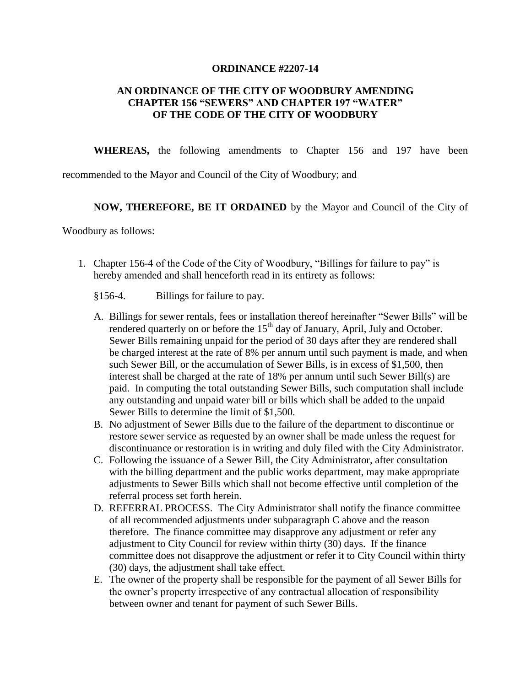#### **ORDINANCE #2207-14**

## **AN ORDINANCE OF THE CITY OF WOODBURY AMENDING CHAPTER 156 "SEWERS" AND CHAPTER 197 "WATER" OF THE CODE OF THE CITY OF WOODBURY**

**WHEREAS,** the following amendments to Chapter 156 and 197 have been

recommended to the Mayor and Council of the City of Woodbury; and

### **NOW, THEREFORE, BE IT ORDAINED** by the Mayor and Council of the City of

Woodbury as follows:

- 1. Chapter 156-4 of the Code of the City of Woodbury, "Billings for failure to pay" is hereby amended and shall henceforth read in its entirety as follows:
	- §156-4. Billings for failure to pay.
	- A. Billings for sewer rentals, fees or installation thereof hereinafter "Sewer Bills" will be rendered quarterly on or before the  $15<sup>th</sup>$  day of January, April, July and October. Sewer Bills remaining unpaid for the period of 30 days after they are rendered shall be charged interest at the rate of 8% per annum until such payment is made, and when such Sewer Bill, or the accumulation of Sewer Bills, is in excess of \$1,500, then interest shall be charged at the rate of 18% per annum until such Sewer Bill(s) are paid. In computing the total outstanding Sewer Bills, such computation shall include any outstanding and unpaid water bill or bills which shall be added to the unpaid Sewer Bills to determine the limit of \$1,500.
	- B. No adjustment of Sewer Bills due to the failure of the department to discontinue or restore sewer service as requested by an owner shall be made unless the request for discontinuance or restoration is in writing and duly filed with the City Administrator.
	- C. Following the issuance of a Sewer Bill, the City Administrator, after consultation with the billing department and the public works department, may make appropriate adjustments to Sewer Bills which shall not become effective until completion of the referral process set forth herein.
	- D. REFERRAL PROCESS. The City Administrator shall notify the finance committee of all recommended adjustments under subparagraph C above and the reason therefore. The finance committee may disapprove any adjustment or refer any adjustment to City Council for review within thirty (30) days. If the finance committee does not disapprove the adjustment or refer it to City Council within thirty (30) days, the adjustment shall take effect.
	- E. The owner of the property shall be responsible for the payment of all Sewer Bills for the owner's property irrespective of any contractual allocation of responsibility between owner and tenant for payment of such Sewer Bills.